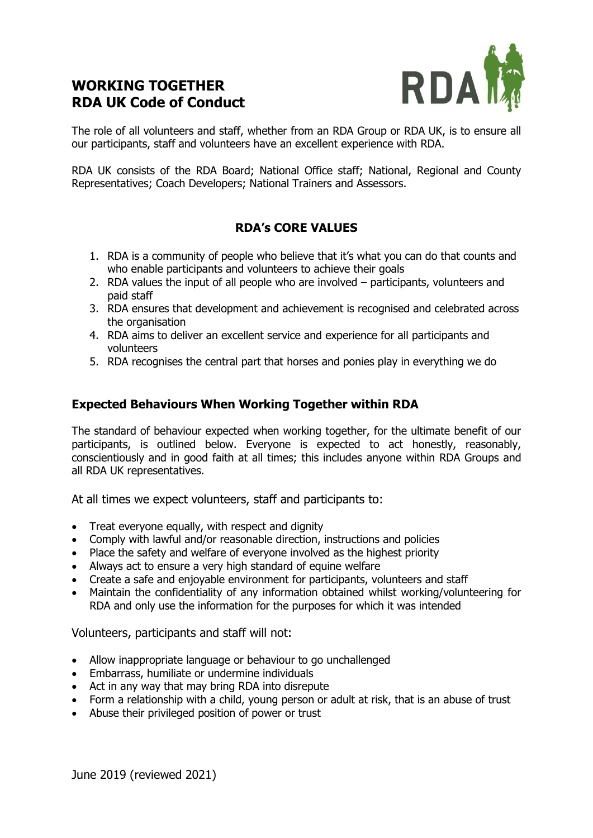## **WORKING TOGETHER RDA UK Code of Conduct**



The role of all volunteers and staff, whether from an RDA Group or RDA UK, is to ensure all our participants, staff and volunteers have an excellent experience with RDA.

RDA UK consists of the RDA Board; National Office staff; National, Regional and County Representatives; Coach Developers; National Trainers and Assessors.

## **RDA's CORE VALUES**

- 1. RDA is a community of people who believe that it's what you can do that counts and who enable participants and volunteers to achieve their goals
- 2. RDA values the input of all people who are involved participants, volunteers and paid staff
- 3. RDA ensures that development and achievement is recognised and celebrated across the organisation
- 4. RDA aims to deliver an excellent service and experience for all participants and volunteers
- 5. RDA recognises the central part that horses and ponies play in everything we do

## **Expected Behaviours When Working Together within RDA**

The standard of behaviour expected when working together, for the ultimate benefit of our participants, is outlined below. Everyone is expected to act honestly, reasonably, conscientiously and in good faith at all times; this includes anyone within RDA Groups and all RDA UK representatives.

At all times we expect volunteers, staff and participants to:

- Treat everyone equally, with respect and dignity
- Comply with lawful and/or reasonable direction, instructions and policies
- Place the safety and welfare of everyone involved as the highest priority
- Always act to ensure a very high standard of equine welfare
- Create a safe and enjoyable environment for participants, volunteers and staff
- Maintain the confidentiality of any information obtained whilst working/volunteering for RDA and only use the information for the purposes for which it was intended

Volunteers, participants and staff will not:

- Allow inappropriate language or behaviour to go unchallenged
- Embarrass, humiliate or undermine individuals
- Act in any way that may bring RDA into disrepute
- Form a relationship with a child, young person or adult at risk, that is an abuse of trust
- Abuse their privileged position of power or trust

June 2019 (reviewed 2021)